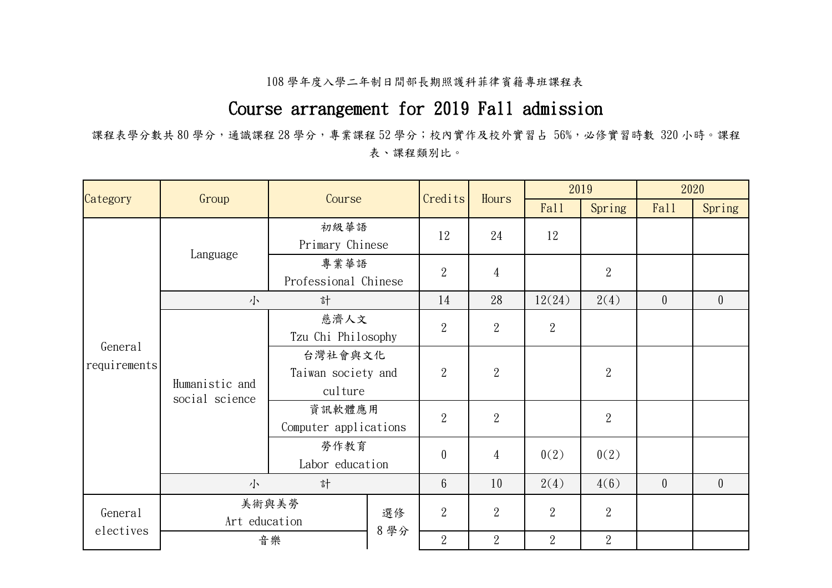## 108 學年度入學二年制日間部長期照護科菲律賓籍專班課程表

## Course arrangement for 2019 Fall admission

課程表學分數共 80學分,通識課程 28學分,專業課程 52學分;校內實作及校外實習占 56%,必修實習時數 320小時。課程 表、課程類別比。

| Category                | Group                            | Course                                   |           | Credits<br>Hours | 2019           |                  | 2020           |                |                  |
|-------------------------|----------------------------------|------------------------------------------|-----------|------------------|----------------|------------------|----------------|----------------|------------------|
|                         |                                  |                                          |           |                  |                | Fal <sub>1</sub> | Spring         | Fall           | Spring           |
|                         | Language                         | 初級華語<br>Primary Chinese                  |           | 12               | 24             | 12               |                |                |                  |
|                         |                                  | 專業華語<br>Professional Chinese             |           | $\boldsymbol{2}$ | $\overline{4}$ |                  | $\overline{2}$ |                |                  |
|                         | 小                                | 計                                        |           | 14               | 28             | 12(24)           | 2(4)           | $\overline{0}$ | $\theta$         |
| General<br>requirements | Humanistic and<br>social science | 慈濟人文<br>Tzu Chi Philosophy               |           | $\overline{2}$   | $\overline{2}$ | $\overline{2}$   |                |                |                  |
|                         |                                  | 台灣社會與文化<br>Taiwan society and<br>culture |           | $\overline{2}$   | $\overline{2}$ |                  | $\overline{2}$ |                |                  |
|                         |                                  | 資訊軟體應用<br>Computer applications          |           | $\boldsymbol{2}$ | $\overline{2}$ |                  | $\overline{2}$ |                |                  |
|                         |                                  | 勞作教育<br>Labor education                  |           | $\theta$         | $\overline{4}$ | 0(2)             | 0(2)           |                |                  |
|                         | 計<br>小                           |                                          |           | $6\phantom{.}6$  | 10             | 2(4)             | 4(6)           | $\overline{0}$ | $\boldsymbol{0}$ |
| General                 | 美術與美勞<br>Art education           |                                          | 選修<br>8學分 | $\overline{2}$   | $\overline{2}$ | $\overline{2}$   | $\overline{2}$ |                |                  |
| electives               |                                  | 音樂                                       |           | $\overline{2}$   | $\overline{2}$ | $\overline{2}$   | $\overline{2}$ |                |                  |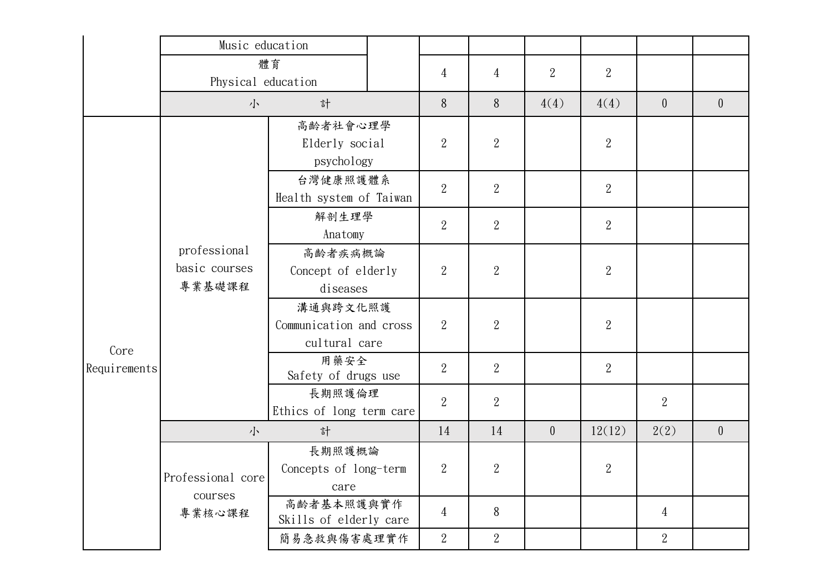|              | Music education                         |                                                      |                                    |                |                  |                |                  |                |                |
|--------------|-----------------------------------------|------------------------------------------------------|------------------------------------|----------------|------------------|----------------|------------------|----------------|----------------|
|              | 體育<br>Physical education                |                                                      |                                    | 4              | $\overline{4}$   | $\overline{2}$ | $\overline{2}$   |                |                |
|              | 小                                       | 計                                                    |                                    | 8              | 8                | 4(4)           | 4(4)             | $\overline{0}$ | $\overline{0}$ |
| Core         | professional<br>basic courses<br>專業基礎課程 | 高齡者社會心理學<br>Elderly social<br>psychology             |                                    | $\overline{2}$ | $\overline{2}$   |                | $\overline{2}$   |                |                |
|              |                                         | 台灣健康照護體系<br>Health system of Taiwan                  |                                    | $\overline{2}$ | $\overline{2}$   |                | $\overline{2}$   |                |                |
|              |                                         | 解剖生理學<br>Anatomy                                     |                                    | $\overline{2}$ | $\overline{2}$   |                | $\overline{2}$   |                |                |
|              |                                         | 高齡者疾病概論<br>Concept of elderly<br>diseases            |                                    | $\overline{2}$ | $\overline{2}$   |                | $\overline{2}$   |                |                |
|              |                                         | 溝通與跨文化照護<br>Communication and cross<br>cultural care |                                    | $\overline{2}$ | $\overline{2}$   |                | $\boldsymbol{2}$ |                |                |
| Requirements |                                         | 用藥安全<br>Safety of drugs use                          |                                    | $\overline{2}$ | $\overline{2}$   |                | $\overline{2}$   |                |                |
|              |                                         |                                                      | 長期照護倫理<br>Ethics of long term care |                | $\overline{2}$   |                |                  | $\overline{2}$ |                |
|              | 計<br>小                                  |                                                      |                                    | 14             | 14               | $\overline{0}$ | 12(12)           | 2(2)           | $\overline{0}$ |
|              | Professional core<br>courses<br>專業核心課程  | 長期照護概論<br>Concepts of long-term<br>care              |                                    | $\overline{2}$ | $\boldsymbol{2}$ |                | $\overline{2}$   |                |                |
|              |                                         | 高齡者基本照護與實作<br>Skills of elderly care                 |                                    | $\overline{4}$ | 8                |                |                  | $\overline{4}$ |                |
|              |                                         | 簡易急救與傷害處理實作                                          | $\overline{2}$                     | $\overline{2}$ |                  |                | $\overline{2}$   |                |                |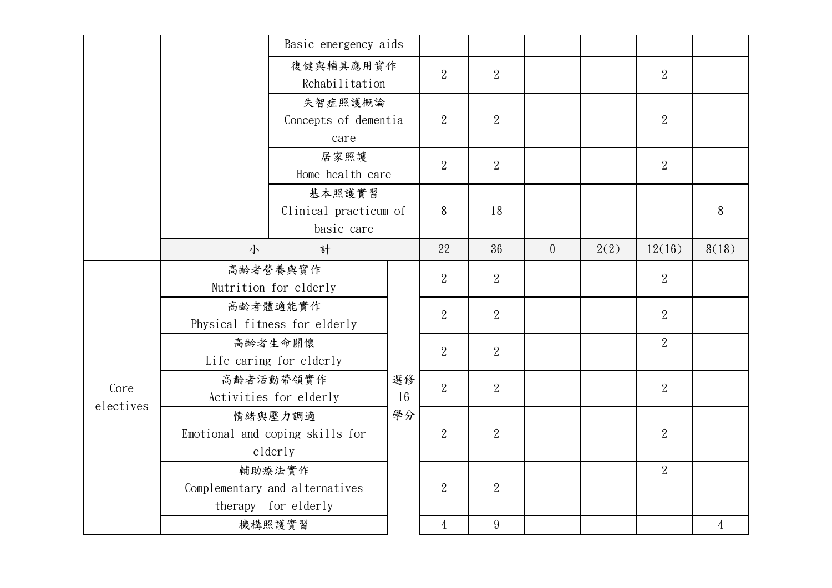|                   | Basic emergency aids                                            |                                                                     |                |                  |                 |          |      |                |                |
|-------------------|-----------------------------------------------------------------|---------------------------------------------------------------------|----------------|------------------|-----------------|----------|------|----------------|----------------|
|                   | 復健與輔具應用實作<br>Rehabilitation                                     |                                                                     |                | $\overline{2}$   | $\overline{2}$  |          |      | $\overline{2}$ |                |
|                   |                                                                 | 失智症照護概論<br>Concepts of dementia<br>care<br>居家照護<br>Home health care |                | $\overline{2}$   | $\overline{2}$  |          |      | $\overline{2}$ |                |
|                   |                                                                 |                                                                     |                | $\overline{2}$   | $\overline{2}$  |          |      | $\overline{2}$ |                |
|                   | 基本照護實習<br>Clinical practicum of<br>basic care                   |                                                                     |                | 8                | 18              |          |      |                | 8              |
|                   | 小                                                               | 計                                                                   |                | 22               | 36              | $\theta$ | 2(2) | 12(16)         | 8(18)          |
|                   | 高齡者營養與實作<br>Nutrition for elderly                               |                                                                     |                | $\overline{2}$   | 2               |          |      | $\overline{2}$ |                |
|                   | 高齡者體適能實作<br>Physical fitness for elderly                        |                                                                     | 選修<br>16<br>學分 | $\mathbf{2}$     | $\overline{2}$  |          |      | $\overline{2}$ |                |
|                   | 高齡者生命關懷<br>Life caring for elderly                              |                                                                     |                | $\overline{2}$   | $\overline{2}$  |          |      | $\overline{2}$ |                |
| Core<br>electives | 高齡者活動帶領實作<br>Activities for elderly                             |                                                                     |                | $\overline{2}$   | $\overline{2}$  |          |      | $\overline{2}$ |                |
|                   | 情緒與壓力調適<br>Emotional and coping skills for<br>elderly           |                                                                     |                | $\overline{2}$   | $\overline{2}$  |          |      | $\overline{2}$ |                |
|                   | 輔助療法實作<br>Complementary and alternatives<br>therapy for elderly |                                                                     |                | $\boldsymbol{2}$ | $\overline{2}$  |          |      | $\overline{2}$ |                |
|                   | 機構照護實習                                                          |                                                                     |                | $\overline{4}$   | $9\phantom{.0}$ |          |      |                | $\overline{4}$ |